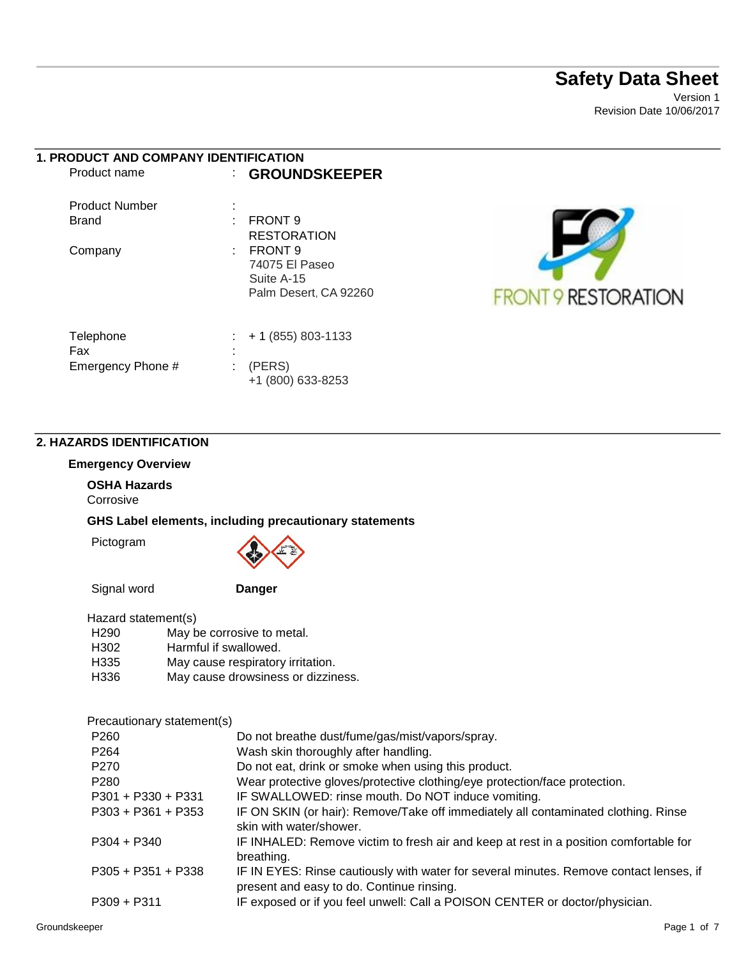# **Safety Data Sheet**

Version 1 Revision Date 10/06/2017

| <b>1. PRODUCT AND COMPANY IDENTIFICATION</b> |                       |
|----------------------------------------------|-----------------------|
| Product name                                 | <b>GROUNDSKEEPER</b>  |
| Product Number                               |                       |
| <b>Brand</b>                                 | <b>FRONT 9</b>        |
|                                              | <b>RESTORATION</b>    |
| Company                                      | FRONT 9               |
|                                              | 74075 El Paseo        |
|                                              | Suite A-15            |
|                                              | Palm Desert. CA 92260 |
|                                              |                       |
|                                              |                       |

Telephone : + 1 (855) 803-1133



#### **2. HAZARDS IDENTIFICATION**

#### **Emergency Overview**

Fax :

Emergency Phone # : (PERS)

# **OSHA Hazards**

Corrosive

**GHS Label elements, including precautionary statements** 

Pictogram



+1 (800) 633-8253

Signal word **Danger**

| Hazard statement(s) |                                    |  |  |
|---------------------|------------------------------------|--|--|
|                     |                                    |  |  |
| H <sub>290</sub>    | May be corrosive to metal.         |  |  |
| H <sub>302</sub>    | Harmful if swallowed.              |  |  |
| H335                | May cause respiratory irritation.  |  |  |
| H <sub>336</sub>    | May cause drowsiness or dizziness. |  |  |

Precautionary statement(s)

| Do not breathe dust/fume/gas/mist/vapors/spray.                                                                                     |
|-------------------------------------------------------------------------------------------------------------------------------------|
| Wash skin thoroughly after handling.                                                                                                |
| Do not eat, drink or smoke when using this product.                                                                                 |
| Wear protective gloves/protective clothing/eye protection/face protection.                                                          |
| IF SWALLOWED: rinse mouth. Do NOT induce vomiting.                                                                                  |
| IF ON SKIN (or hair): Remove/Take off immediately all contaminated clothing. Rinse                                                  |
| skin with water/shower.                                                                                                             |
| IF INHALED: Remove victim to fresh air and keep at rest in a position comfortable for                                               |
| breathing.                                                                                                                          |
| IF IN EYES: Rinse cautiously with water for several minutes. Remove contact lenses, if<br>present and easy to do. Continue rinsing. |
| IF exposed or if you feel unwell: Call a POISON CENTER or doctor/physician.                                                         |
|                                                                                                                                     |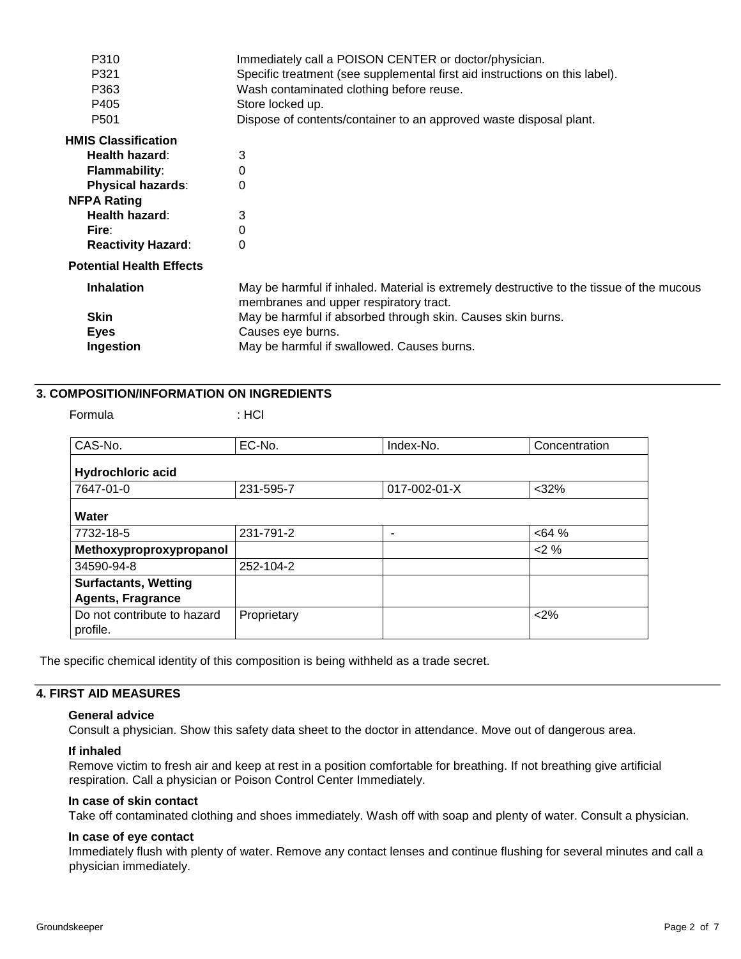| P310                            | Immediately call a POISON CENTER or doctor/physician.                                                                              |
|---------------------------------|------------------------------------------------------------------------------------------------------------------------------------|
| P321                            | Specific treatment (see supplemental first aid instructions on this label).                                                        |
| P363                            | Wash contaminated clothing before reuse.                                                                                           |
| P405                            | Store locked up.                                                                                                                   |
| P <sub>501</sub>                | Dispose of contents/container to an approved waste disposal plant.                                                                 |
| <b>HMIS Classification</b>      |                                                                                                                                    |
| Health hazard:                  | 3                                                                                                                                  |
| <b>Flammability:</b>            | 0                                                                                                                                  |
| <b>Physical hazards:</b>        | 0                                                                                                                                  |
| <b>NFPA Rating</b>              |                                                                                                                                    |
| Health hazard:                  | 3                                                                                                                                  |
| Fire:                           | 0                                                                                                                                  |
| <b>Reactivity Hazard:</b>       | 0                                                                                                                                  |
| <b>Potential Health Effects</b> |                                                                                                                                    |
| <b>Inhalation</b>               | May be harmful if inhaled. Material is extremely destructive to the tissue of the mucous<br>membranes and upper respiratory tract. |
| <b>Skin</b>                     | May be harmful if absorbed through skin. Causes skin burns.                                                                        |
| Eyes                            | Causes eye burns.                                                                                                                  |
| Ingestion                       | May be harmful if swallowed. Causes burns.                                                                                         |
|                                 |                                                                                                                                    |

## **3. COMPOSITION/INFORMATION ON INGREDIENTS**

Formula : HCl

| CAS-No.                                                 | EC-No.      | Index-No.    | Concentration |
|---------------------------------------------------------|-------------|--------------|---------------|
| <b>Hydrochloric acid</b>                                |             |              |               |
| 7647-01-0                                               | 231-595-7   | 017-002-01-X | $<$ 32%       |
| Water                                                   |             |              |               |
| 7732-18-5                                               | 231-791-2   |              | <64%          |
| Methoxyproproxypropanol                                 |             |              | 2%            |
| 34590-94-8                                              | 252-104-2   |              |               |
| <b>Surfactants, Wetting</b><br><b>Agents, Fragrance</b> |             |              |               |
| Do not contribute to hazard<br>profile.                 | Proprietary |              | <2%           |

The specific chemical identity of this composition is being withheld as a trade secret.

### **4. FIRST AID MEASURES**

#### **General advice**

Consult a physician. Show this safety data sheet to the doctor in attendance. Move out of dangerous area.

#### **If inhaled**

Remove victim to fresh air and keep at rest in a position comfortable for breathing. If not breathing give artificial respiration. Call a physician or Poison Control Center Immediately.

#### **In case of skin contact**

Take off contaminated clothing and shoes immediately. Wash off with soap and plenty of water. Consult a physician.

#### **In case of eye contact**

Immediately flush with plenty of water. Remove any contact lenses and continue flushing for several minutes and call a physician immediately.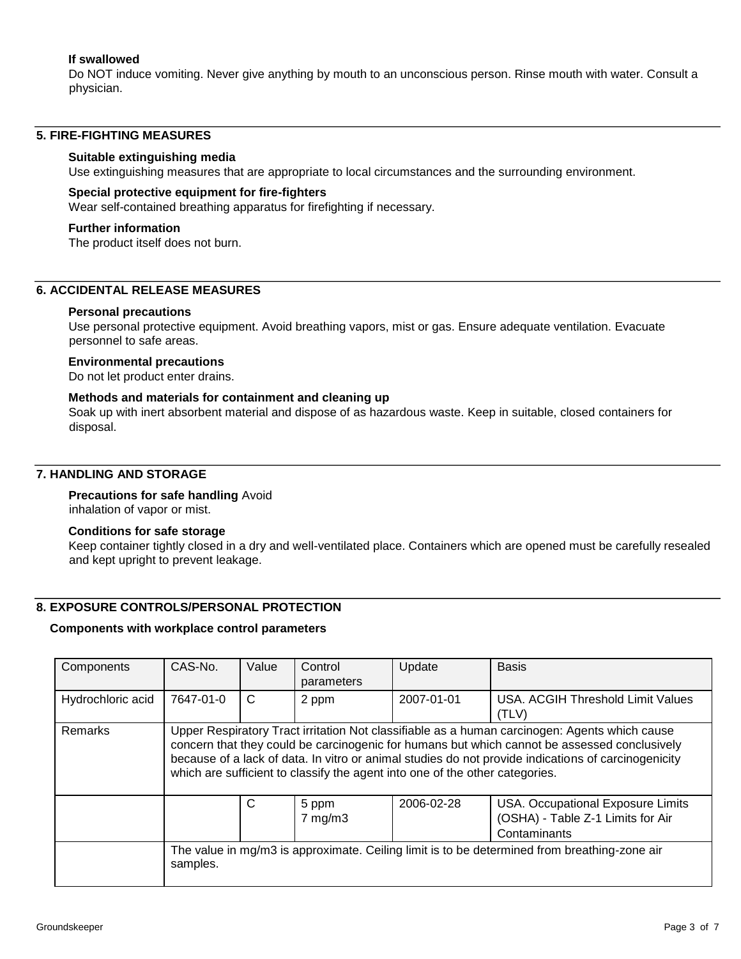### **If swallowed**

Do NOT induce vomiting. Never give anything by mouth to an unconscious person. Rinse mouth with water. Consult a physician.

#### **5. FIRE-FIGHTING MEASURES**

#### **Suitable extinguishing media**

Use extinguishing measures that are appropriate to local circumstances and the surrounding environment.

#### **Special protective equipment for fire-fighters**

Wear self-contained breathing apparatus for firefighting if necessary.

#### **Further information**

The product itself does not burn.

#### **6. ACCIDENTAL RELEASE MEASURES**

#### **Personal precautions**

Use personal protective equipment. Avoid breathing vapors, mist or gas. Ensure adequate ventilation. Evacuate personnel to safe areas.

#### **Environmental precautions**

Do not let product enter drains.

#### **Methods and materials for containment and cleaning up**

Soak up with inert absorbent material and dispose of as hazardous waste. Keep in suitable, closed containers for disposal.

#### **7. HANDLING AND STORAGE**

# **Precautions for safe handling** Avoid

inhalation of vapor or mist.

#### **Conditions for safe storage**

Keep container tightly closed in a dry and well-ventilated place. Containers which are opened must be carefully resealed and kept upright to prevent leakage.

#### **8. EXPOSURE CONTROLS/PERSONAL PROTECTION**

#### **Components with workplace control parameters**

| Components        | CAS-No.                                                                                                                                                                                                                                                                                                                                                                              | Value | Control<br>parameters | Update     | <b>Basis</b>                                                           |
|-------------------|--------------------------------------------------------------------------------------------------------------------------------------------------------------------------------------------------------------------------------------------------------------------------------------------------------------------------------------------------------------------------------------|-------|-----------------------|------------|------------------------------------------------------------------------|
| Hydrochloric acid | 7647-01-0                                                                                                                                                                                                                                                                                                                                                                            | C     | 2 ppm                 | 2007-01-01 | USA, ACGIH Threshold Limit Values<br>(TLV)                             |
| Remarks           | Upper Respiratory Tract irritation Not classifiable as a human carcinogen: Agents which cause<br>concern that they could be carcinogenic for humans but which cannot be assessed conclusively<br>because of a lack of data. In vitro or animal studies do not provide indications of carcinogenicity<br>which are sufficient to classify the agent into one of the other categories. |       |                       |            |                                                                        |
|                   | C<br>2006-02-28<br>5 ppm<br>$7$ mg/m $3$<br>Contaminants                                                                                                                                                                                                                                                                                                                             |       |                       |            | USA. Occupational Exposure Limits<br>(OSHA) - Table Z-1 Limits for Air |
|                   | The value in mg/m3 is approximate. Ceiling limit is to be determined from breathing-zone air<br>samples.                                                                                                                                                                                                                                                                             |       |                       |            |                                                                        |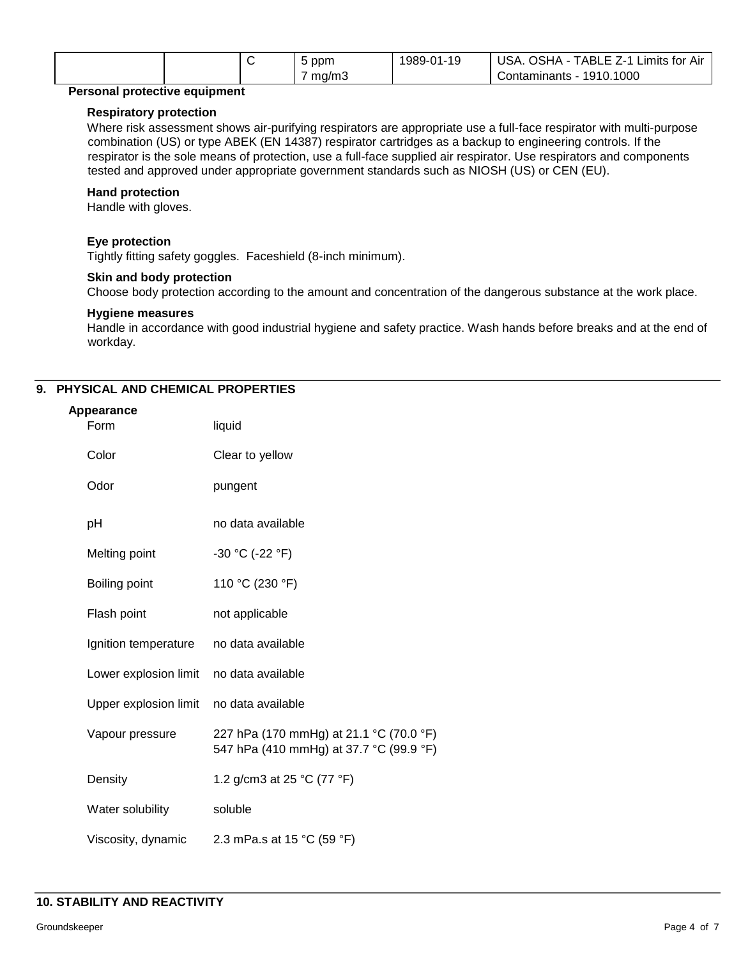|  | ppm   | 1989-0<br>1-19<br>$\mathsf{A}$<br>v | USA.<br><b>AH2C</b><br>-<br>TABLL<br>Air<br>∟ımıts ′<br>tor<br>---<br><u>_</u> |
|--|-------|-------------------------------------|--------------------------------------------------------------------------------|
|  | mg/m3 |                                     | .1000<br>1910.<br>Contaminants<br>-                                            |

#### **Personal protective equipment**

#### **Respiratory protection**

Where risk assessment shows air-purifying respirators are appropriate use a full-face respirator with multi-purpose combination (US) or type ABEK (EN 14387) respirator cartridges as a backup to engineering controls. If the respirator is the sole means of protection, use a full-face supplied air respirator. Use respirators and components tested and approved under appropriate government standards such as NIOSH (US) or CEN (EU).

#### **Hand protection**

Handle with gloves.

#### **Eye protection**

Tightly fitting safety goggles. Faceshield (8-inch minimum).

#### **Skin and body protection**

Choose body protection according to the amount and concentration of the dangerous substance at the work place.

#### **Hygiene measures**

Handle in accordance with good industrial hygiene and safety practice. Wash hands before breaks and at the end of workday.

# **9. PHYSICAL AND CHEMICAL PROPERTIES**

| Appearance            |                                                                                    |
|-----------------------|------------------------------------------------------------------------------------|
| Form                  | liquid                                                                             |
| Color                 | Clear to yellow                                                                    |
| Odor                  | pungent                                                                            |
| pH                    | no data available                                                                  |
| Melting point         | $-30 °C (-22 °F)$                                                                  |
| Boiling point         | 110 °C (230 °F)                                                                    |
| Flash point           | not applicable                                                                     |
| Ignition temperature  | no data available                                                                  |
| Lower explosion limit | no data available                                                                  |
| Upper explosion limit | no data available                                                                  |
| Vapour pressure       | 227 hPa (170 mmHg) at 21.1 °C (70.0 °F)<br>547 hPa (410 mmHg) at 37.7 °C (99.9 °F) |
| Density               | 1.2 g/cm3 at 25 °C (77 °F)                                                         |
| Water solubility      | soluble                                                                            |
| Viscosity, dynamic    | 2.3 mPa.s at 15 °C (59 °F)                                                         |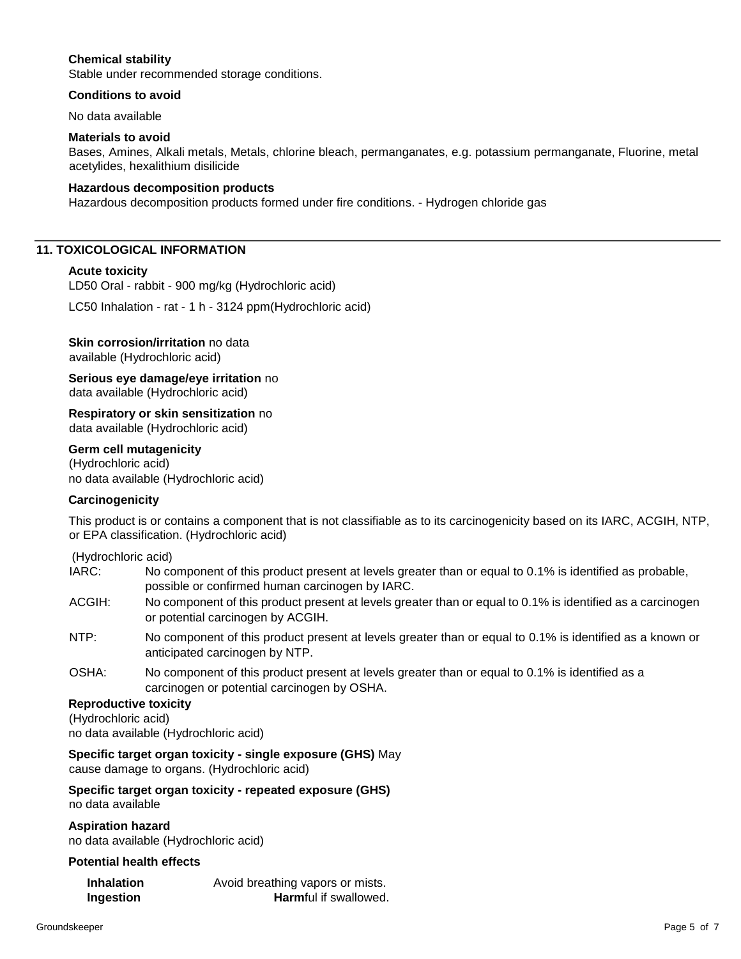### **Chemical stability**

Stable under recommended storage conditions.

#### **Conditions to avoid**

No data available

#### **Materials to avoid**

Bases, Amines, Alkali metals, Metals, chlorine bleach, permanganates, e.g. potassium permanganate, Fluorine, metal acetylides, hexalithium disilicide

#### **Hazardous decomposition products**

Hazardous decomposition products formed under fire conditions. - Hydrogen chloride gas

#### **11. TOXICOLOGICAL INFORMATION**

#### **Acute toxicity**

LD50 Oral - rabbit - 900 mg/kg (Hydrochloric acid)

LC50 Inhalation - rat - 1 h - 3124 ppm(Hydrochloric acid)

# **Skin corrosion/irritation** no data

available (Hydrochloric acid)

**Serious eye damage/eye irritation** no data available (Hydrochloric acid)

**Respiratory or skin sensitization** no data available (Hydrochloric acid)

#### **Germ cell mutagenicity**

(Hydrochloric acid) no data available (Hydrochloric acid)

#### **Carcinogenicity**

This product is or contains a component that is not classifiable as to its carcinogenicity based on its IARC, ACGIH, NTP, or EPA classification. (Hydrochloric acid)

(Hydrochloric acid)

| IARC: | No component of this product present at levels greater than or equal to 0.1% is identified as probable, |
|-------|---------------------------------------------------------------------------------------------------------|
|       | possible or confirmed human carcinogen by IARC.                                                         |

- ACGIH: No component of this product present at levels greater than or equal to 0.1% is identified as a carcinogen or potential carcinogen by ACGIH.
- NTP: No component of this product present at levels greater than or equal to 0.1% is identified as a known or anticipated carcinogen by NTP.
- OSHA: No component of this product present at levels greater than or equal to 0.1% is identified as a carcinogen or potential carcinogen by OSHA.

#### **Reproductive toxicity**

(Hydrochloric acid) no data available (Hydrochloric acid)

#### **Specific target organ toxicity - single exposure (GHS)** May

cause damage to organs. (Hydrochloric acid)

# **Specific target organ toxicity - repeated exposure (GHS)**

no data available

**Aspiration hazard**  no data available (Hydrochloric acid)

#### **Potential health effects**

| Inhalation | Avoid breathing vapors or mists. |
|------------|----------------------------------|
| Ingestion  | <b>Harmful if swallowed.</b>     |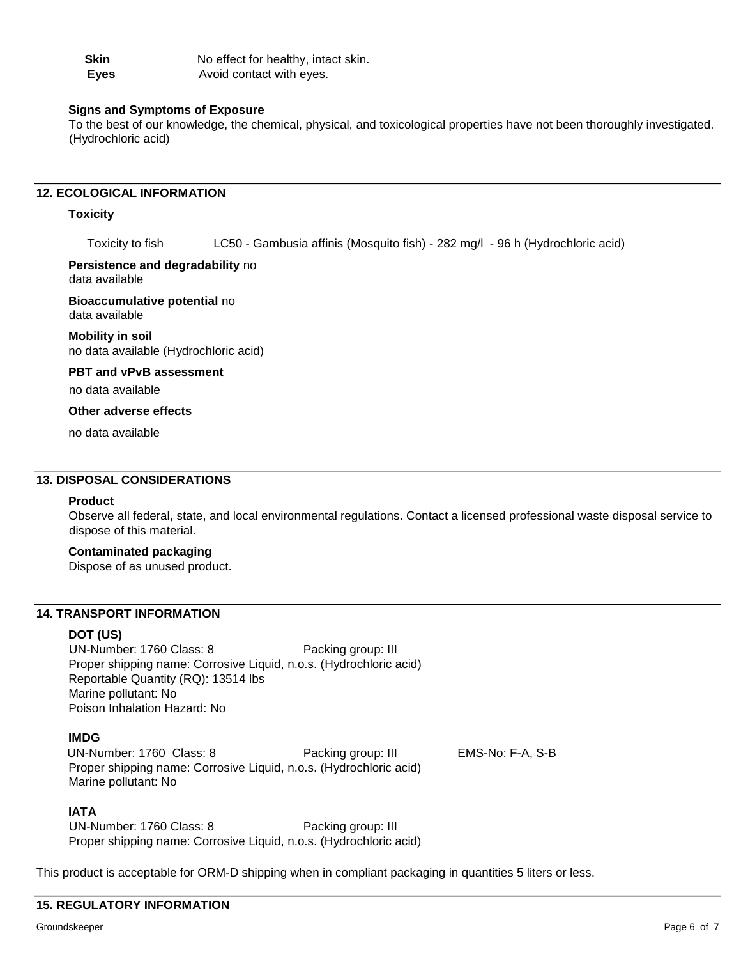| <b>Skin</b> | No effect for healthy, intact skin. |
|-------------|-------------------------------------|
| Eyes        | Avoid contact with eyes.            |

#### **Signs and Symptoms of Exposure**

To the best of our knowledge, the chemical, physical, and toxicological properties have not been thoroughly investigated. (Hydrochloric acid)

## **12. ECOLOGICAL INFORMATION**

#### **Toxicity**

Toxicity to fish LC50 - Gambusia affinis (Mosquito fish) - 282 mg/l - 96 h (Hydrochloric acid)

# **Persistence and degradability** no

data available

**Bioaccumulative potential** no data available

**Mobility in soil**  no data available (Hydrochloric acid)

#### **PBT and vPvB assessment**

no data available

#### **Other adverse effects**

no data available

# **13. DISPOSAL CONSIDERATIONS**

#### **Product**

Observe all federal, state, and local environmental regulations. Contact a licensed professional waste disposal service to dispose of this material.

#### **Contaminated packaging**

Dispose of as unused product.

#### **14. TRANSPORT INFORMATION**

#### **DOT (US)**

UN-Number: 1760 Class: 8 Packing group: III Proper shipping name: Corrosive Liquid, n.o.s. (Hydrochloric acid) Reportable Quantity (RQ): 13514 lbs Marine pollutant: No Poison Inhalation Hazard: No

#### **IMDG**

UN-Number: 1760 Class: 8 Packing group: III EMS-No: F-A, S-B Proper shipping name: Corrosive Liquid, n.o.s. (Hydrochloric acid) Marine pollutant: No

#### **IATA**

UN-Number: 1760 Class: 8 Packing group: III Proper shipping name: Corrosive Liquid, n.o.s. (Hydrochloric acid)

This product is acceptable for ORM-D shipping when in compliant packaging in quantities 5 liters or less.